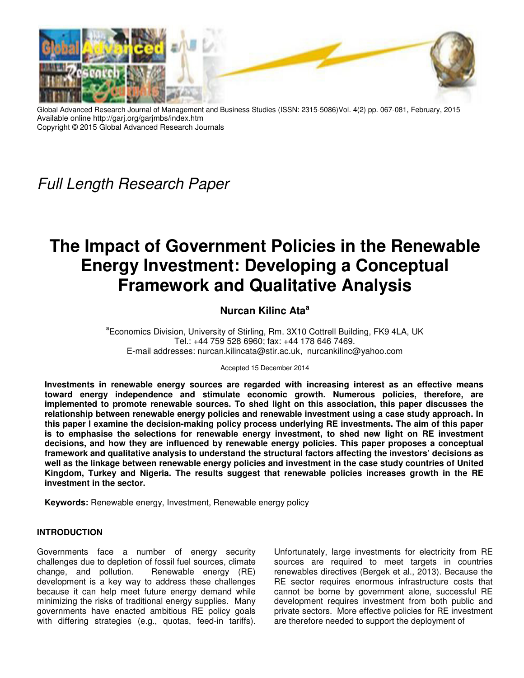

Global Advanced Research Journal of Management and Business Studies (ISSN: 2315-5086)Vol. 4(2) pp. 067-081, February, 2015 Available online http://garj.org/garjmbs/index.htm Copyright © 2015 Global Advanced Research Journals

*Full Length Research Paper*

# **The Impact of Government Policies in the Renewable Energy Investment: Developing a Conceptual Framework and Qualitative Analysis**

## **Nurcan Kilinc Ata<sup>a</sup>**

<sup>a</sup> Economics Division, University of Stirling, Rm. 3X10 Cottrell Building, FK9 4LA, UK Tel.: +44 759 528 6960; fax: +44 178 646 7469. E-mail addresses: nurcan.kilincata@stir.ac.uk, nurcankilinc@yahoo.com

Accepted 15 December 2014

**Investments in renewable energy sources are regarded with increasing interest as an effective means toward energy independence and stimulate economic growth. Numerous policies, therefore, are implemented to promote renewable sources. To shed light on this association, this paper discusses the relationship between renewable energy policies and renewable investment using a case study approach. In this paper I examine the decision-making policy process underlying RE investments. The aim of this paper is to emphasise the selections for renewable energy investment, to shed new light on RE investment decisions, and how they are influenced by renewable energy policies. This paper proposes a conceptual framework and qualitative analysis to understand the structural factors affecting the investors' decisions as well as the linkage between renewable energy policies and investment in the case study countries of United Kingdom, Turkey and Nigeria. The results suggest that renewable policies increases growth in the RE investment in the sector.** 

**Keywords:** Renewable energy, Investment, Renewable energy policy

#### **INTRODUCTION**

Governments face a number of energy security challenges due to depletion of fossil fuel sources, climate change, and pollution. Renewable energy (RE) development is a key way to address these challenges because it can help meet future energy demand while minimizing the risks of traditional energy supplies. Many governments have enacted ambitious RE policy goals with differing strategies (e.g., quotas, feed-in tariffs).

Unfortunately, large investments for electricity from RE sources are required to meet targets in countries renewables directives (Bergek et al., 2013). Because the RE sector requires enormous infrastructure costs that cannot be borne by government alone, successful RE development requires investment from both public and private sectors. More effective policies for RE investment are therefore needed to support the deployment of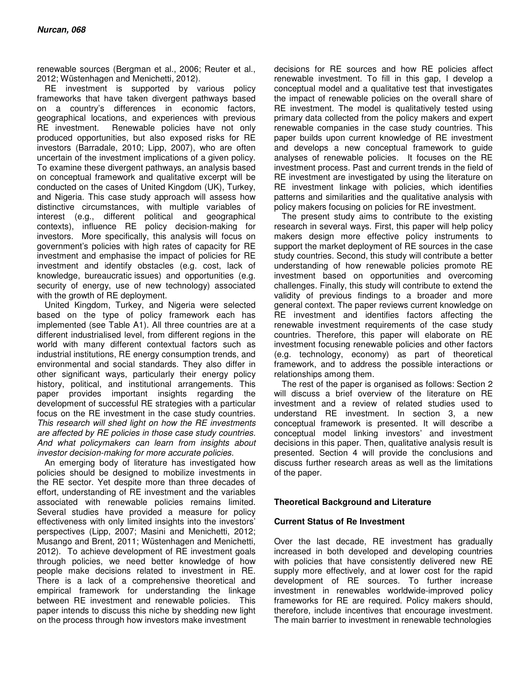renewable sources (Bergman et al., 2006; Reuter et al., 2012; Wüstenhagen and Menichetti, 2012).

RE investment is supported by various policy frameworks that have taken divergent pathways based on a country's differences in economic factors, geographical locations, and experiences with previous RE investment. Renewable policies have not only produced opportunities, but also exposed risks for RE investors (Barradale, 2010; Lipp, 2007), who are often uncertain of the investment implications of a given policy. To examine these divergent pathways, an analysis based on conceptual framework and qualitative excerpt will be conducted on the cases of United Kingdom (UK), Turkey, and Nigeria. This case study approach will assess how distinctive circumstances, with multiple variables of interest (e.g., different political and geographical contexts), influence RE policy decision-making for investors. More specifically, this analysis will focus on government's policies with high rates of capacity for RE investment and emphasise the impact of policies for RE investment and identify obstacles (e.g. cost, lack of knowledge, bureaucratic issues) and opportunities (e.g. security of energy, use of new technology) associated with the growth of RE deployment.

United Kingdom, Turkey, and Nigeria were selected based on the type of policy framework each has implemented (see Table A1). All three countries are at a different industrialised level, from different regions in the world with many different contextual factors such as industrial institutions, RE energy consumption trends, and environmental and social standards. They also differ in other significant ways, particularly their energy policy history, political, and institutional arrangements. This paper provides important insights regarding the development of successful RE strategies with a particular focus on the RE investment in the case study countries. *This research will shed light on how the RE investments are affected by RE policies in those case study countries. And what policymakers can learn from insights about investor decision-making for more accurate policies.* 

An emerging body of literature has investigated how policies should be designed to mobilize investments in the RE sector. Yet despite more than three decades of effort, understanding of RE investment and the variables associated with renewable policies remains limited. Several studies have provided a measure for policy effectiveness with only limited insights into the investors' perspectives (Lipp, 2007; Masini and Menichetti, 2012; Musango and Brent, 2011; Wüstenhagen and Menichetti, 2012). To achieve development of RE investment goals through policies, we need better knowledge of how people make decisions related to investment in RE. There is a lack of a comprehensive theoretical and empirical framework for understanding the linkage between RE investment and renewable policies. This paper intends to discuss this niche by shedding new light on the process through how investors make investment

decisions for RE sources and how RE policies affect renewable investment. To fill in this gap, I develop a conceptual model and a qualitative test that investigates the impact of renewable policies on the overall share of RE investment. The model is qualitatively tested using primary data collected from the policy makers and expert renewable companies in the case study countries. This paper builds upon current knowledge of RE investment and develops a new conceptual framework to guide analyses of renewable policies. It focuses on the RE investment process. Past and current trends in the field of RE investment are investigated by using the literature on RE investment linkage with policies, which identifies patterns and similarities and the qualitative analysis with policy makers focusing on policies for RE investment.

The present study aims to contribute to the existing research in several ways. First, this paper will help policy makers design more effective policy instruments to support the market deployment of RE sources in the case study countries. Second, this study will contribute a better understanding of how renewable policies promote RE investment based on opportunities and overcoming challenges. Finally, this study will contribute to extend the validity of previous findings to a broader and more general context. The paper reviews current knowledge on RE investment and identifies factors affecting the renewable investment requirements of the case study countries. Therefore, this paper will elaborate on RE investment focusing renewable policies and other factors (e.g. technology, economy) as part of theoretical framework, and to address the possible interactions or relationships among them.

The rest of the paper is organised as follows: Section 2 will discuss a brief overview of the literature on RE investment and a review of related studies used to understand RE investment. In section 3, a new conceptual framework is presented. It will describe a conceptual model linking investors' and investment decisions in this paper. Then, qualitative analysis result is presented. Section 4 will provide the conclusions and discuss further research areas as well as the limitations of the paper.

#### **Theoretical Background and Literature**

#### **Current Status of Re Investment**

Over the last decade, RE investment has gradually increased in both developed and developing countries with policies that have consistently delivered new RE supply more effectively, and at lower cost for the rapid development of RE sources. To further increase investment in renewables worldwide-improved policy frameworks for RE are required. Policy makers should, therefore, include incentives that encourage investment. The main barrier to investment in renewable technologies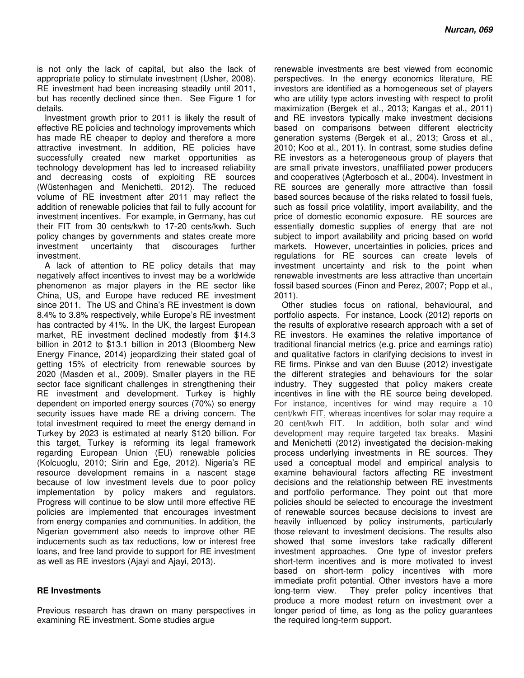is not only the lack of capital, but also the lack of appropriate policy to stimulate investment (Usher, 2008). RE investment had been increasing steadily until 2011, but has recently declined since then. See Figure 1 for details.

Investment growth prior to 2011 is likely the result of effective RE policies and technology improvements which has made RE cheaper to deploy and therefore a more attractive investment. In addition, RE policies have successfully created new market opportunities as technology development has led to increased reliability and decreasing costs of exploiting RE sources (Wüstenhagen and Menichetti, 2012). The reduced volume of RE investment after 2011 may reflect the addition of renewable policies that fail to fully account for investment incentives. For example, in Germany, has cut their FIT from 30 cents/kwh to 17-20 cents/kwh. Such policy changes by governments and states create more investment uncertainty that discourages further investment.

A lack of attention to RE policy details that may negatively affect incentives to invest may be a worldwide phenomenon as major players in the RE sector like China, US, and Europe have reduced RE investment since 2011. The US and China's RE investment is down 8.4% to 3.8% respectively, while Europe's RE investment has contracted by 41%. In the UK, the largest European market, RE investment declined modestly from \$14.3 billion in 2012 to \$13.1 billion in 2013 (Bloomberg New Energy Finance, 2014) jeopardizing their stated goal of getting 15% of electricity from renewable sources by 2020 (Masden et al., 2009). Smaller players in the RE sector face significant challenges in strengthening their RE investment and development. Turkey is highly dependent on imported energy sources (70%) so energy security issues have made RE a driving concern. The total investment required to meet the energy demand in Turkey by 2023 is estimated at nearly \$120 billion. For this target, Turkey is reforming its legal framework regarding European Union (EU) renewable policies (Kolcuoglu, 2010; Sirin and Ege, 2012). Nigeria's RE resource development remains in a nascent stage because of low investment levels due to poor policy implementation by policy makers and regulators. Progress will continue to be slow until more effective RE policies are implemented that encourages investment from energy companies and communities. In addition, the Nigerian government also needs to improve other RE inducements such as tax reductions, low or interest free loans, and free land provide to support for RE investment as well as RE investors (Ajayi and Ajayi, 2013).

#### **RE Investments**

Previous research has drawn on many perspectives in examining RE investment. Some studies argue

renewable investments are best viewed from economic perspectives. In the energy economics literature, RE investors are identified as a homogeneous set of players who are utility type actors investing with respect to profit maximization (Bergek et al., 2013; Kangas et al., 2011) and RE investors typically make investment decisions based on comparisons between different electricity generation systems (Bergek et al., 2013; Gross et al., 2010; Koo et al., 2011). In contrast, some studies define RE investors as a heterogeneous group of players that are small private investors, unaffiliated power producers and cooperatives (Agterbosch et al., 2004). Investment in RE sources are generally more attractive than fossil based sources because of the risks related to fossil fuels, such as fossil price volatility, import availability, and the price of domestic economic exposure. RE sources are essentially domestic supplies of energy that are not subject to import availability and pricing based on world markets. However, uncertainties in policies, prices and regulations for RE sources can create levels of investment uncertainty and risk to the point when renewable investments are less attractive than uncertain fossil based sources (Finon and Perez, 2007; Popp et al., 2011).

Other studies focus on rational, behavioural, and portfolio aspects. For instance, Loock (2012) reports on the results of explorative research approach with a set of RE investors. He examines the relative importance of traditional financial metrics (e.g. price and earnings ratio) and qualitative factors in clarifying decisions to invest in RE firms. Pinkse and van den Buuse (2012) investigate the different strategies and behaviours for the solar industry. They suggested that policy makers create incentives in line with the RE source being developed. For instance, incentives for wind may require a 10 cent/kwh FIT, whereas incentives for solar may require a 20 cent/kwh FIT. In addition, both solar and wind development may require targeted tax breaks. Masini and Menichetti (2012) investigated the decision-making process underlying investments in RE sources. They used a conceptual model and empirical analysis to examine behavioural factors affecting RE investment decisions and the relationship between RE investments and portfolio performance. They point out that more policies should be selected to encourage the investment of renewable sources because decisions to invest are heavily influenced by policy instruments, particularly those relevant to investment decisions. The results also showed that some investors take radically different investment approaches. One type of investor prefers short-term incentives and is more motivated to invest based on short-term policy incentives with more immediate profit potential. Other investors have a more long-term view. They prefer policy incentives that produce a more modest return on investment over a longer period of time, as long as the policy guarantees the required long-term support.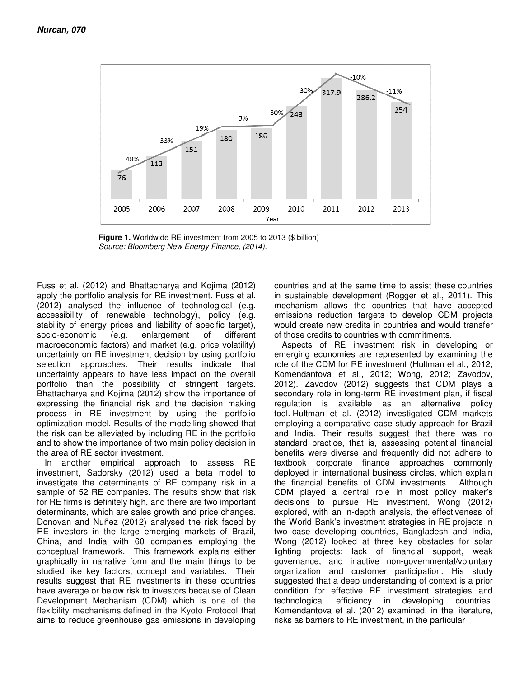

**Figure 1.** Worldwide RE investment from 2005 to 2013 (\$ billion) *Source: Bloomberg New Energy Finance, (2014). Energy Finance, (2014).* 

Fuss et al. (2012) and Bhattacharya and Kojima (2012) Fuss et al. (2012) and Bhattacharya and Kojima (2012)<br>apply the portfolio analysis for RE investment. Fuss et al. (2012) analysed the influence of technological (e.g. accessibility of renewable technology), policy (e.g. stability of energy prices and liability of specific target), socio-economic (e.g. enlargement of different macroeconomic factors) and market (e.g. price volatility) uncertainty on RE investment decision by using portfolio selection approaches. Their results indicate that uncertainty appears to have less impact on the overall portfolio than the possibility of stringent targets. Bhattacharya and Kojima (2012) show the importance of expressing the financial risk and the decision making process in RE investment by using the portfolio optimization model. Results of the modelling showed that the risk can be alleviated by including RE in the portfolio and to show the importance of two main policy decision in the area of RE sector investment. (2012) analysed the influence of technological (e.g.<br>accessibility of renewable technology), policy (e.g.<br>stacibility of renewable technology), policy (e.g.<br>stacibility of energy prices and liability of specific target),<br>s

In another empirical approach to assess RE investment, Sadorsky (2012) used a beta model to investigate the determinants of RE company risk in a sample of 52 RE companies. The results show that risk for RE firms is definitely high, and there are two important determinants, which are sales growth and price changes. Donovan and Nuñez (2012) analysed the risk faced by RE investors in the large emerging markets of Brazil China, and India with 60 companies employing the conceptual framework. This framework explains either graphically in narrative form and the main things to be studied like key factors, concept and variables. Their results suggest that RE investments in these countries have average or below risk to investors because of Clean<br>Development Mechanism (CDM) which is one of the Development Mechanism (CDM) which is one of the flexibility mechanisms defined in the Kyoto Protocol that aims to reduce greenhouse gas emissions in developing and India with 60 companies employing the<br>ual framework. This framework explains either<br>illy in narrative form and the main things to be<br>like key factors, concept and variables. Their<br>suggest that RE investments in these c in sustainable development (Rogger et al., 2011). This mechanism allows the countries that have accepted emissions reduction targets to develop CDM projects would create new credits in countries and would transfer of those credits to countries with commitments. countries and at the same time to assist these countries

dachary and Kojima (2012) countries and at the same time to assist these dues the same time to assist these or Relinverging, policy of a.g. emissions reduction targets to develop CDM (all distilly of specific target), woul Aspects of RE investment risk in developing or emerging economies are represented by examining the role of the CDM for RE investment (Hultman et al., 2012; Komendantova et al., 2012; Wong, 2012; Zavodov, 2012). Zavodov (2012) suggests that CDM plays a secondary role in long-term RE investment plan, if fiscal regulation is available as an alternative policy tool. Hultman et al. (2012) investigated CDM markets employing a comparative case study approach for Brazil and India. Their results suggest that there was no standard practice, that is, assessing potential financial benefits were diverse and frequently did not adhere to textbook corporate finance approaches commonly deployed in international business circles, which explain the financial benefits of CDM investments. Although CDM played a central role in most policy maker's the financial benefits of CDM investments. Although<br>CDM played a central role in most policy maker's<br>decisions to pursue RE investment, Wong (2012) explored, with an in-depth analysis, the effectiveness of<br>the World Bank's investment strategies in RE projects in the World Bank's investment strategies in RE projects in two case developing countries, Bangladesh and India, two case developing countries, Bangladesh and India,<br>Wong (2012) looked at three key obstacles for solar lighting projects: lack of financial support, weak lighting projects: lack of financial support, weak<br>governance, and inactive non-governmental/voluntary organization and customer participation. His study suggested that a deep understanding of context is a prior condition for effective RE investment strategies and technological efficiency in developing countries. Komendantova et al. (2012) examined, in the literature, suggested that a deep understanding of context is<br>condition for effective RE investment strategie<br>technological efficiency in developing cou<br>Komendantova et al. (2012) examined, in the lite<br>risks as barriers to RE investme in sustainable development (Rogger et al., 2011). This<br>mechanism allows the countries that have accepted<br>emissions reduction targets to develop CDM projects<br>would create new credits in countries and would transfer<br>of those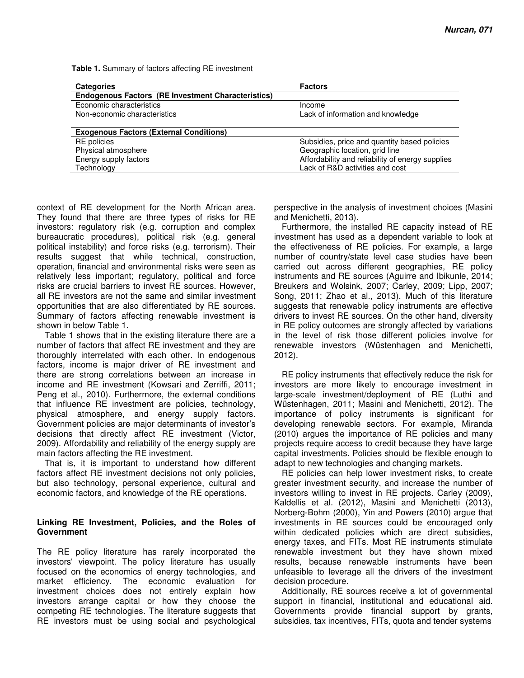| <b>Categories</b>                                         | <b>Factors</b>                                   |  |
|-----------------------------------------------------------|--------------------------------------------------|--|
| <b>Endogenous Factors (RE Investment Characteristics)</b> |                                                  |  |
| Economic characteristics                                  | Income                                           |  |
| Non-economic characteristics                              | Lack of information and knowledge                |  |
|                                                           |                                                  |  |
| <b>Exogenous Factors (External Conditions)</b>            |                                                  |  |
| <b>RE</b> policies                                        | Subsidies, price and quantity based policies     |  |
| Physical atmosphere                                       | Geographic location, grid line                   |  |
| Energy supply factors                                     | Affordability and reliability of energy supplies |  |
| Technology                                                | Lack of R&D activities and cost                  |  |

**Table 1.** Summary of factors affecting RE investment

context of RE development for the North African area. They found that there are three types of risks for RE investors: regulatory risk (e.g. corruption and complex bureaucratic procedures), political risk (e.g. general political instability) and force risks (e.g. terrorism). Their results suggest that while technical, construction, operation, financial and environmental risks were seen as relatively less important; regulatory, political and force risks are crucial barriers to invest RE sources. However, all RE investors are not the same and similar investment opportunities that are also differentiated by RE sources. Summary of factors affecting renewable investment is shown in below Table 1.

Table 1 shows that in the existing literature there are a number of factors that affect RE investment and they are thoroughly interrelated with each other. In endogenous factors, income is major driver of RE investment and there are strong correlations between an increase in income and RE investment (Kowsari and Zerriffi, 2011; Peng et al., 2010). Furthermore, the external conditions that influence RE investment are policies, technology, physical atmosphere, and energy supply factors. Government policies are major determinants of investor's decisions that directly affect RE investment (Victor, 2009). Affordability and reliability of the energy supply are main factors affecting the RE investment.

That is, it is important to understand how different factors affect RE investment decisions not only policies, but also technology, personal experience, cultural and economic factors, and knowledge of the RE operations.

#### **Linking RE Investment, Policies, and the Roles of Government**

The RE policy literature has rarely incorporated the investors' viewpoint. The policy literature has usually focused on the economics of energy technologies, and market efficiency. The economic evaluation for investment choices does not entirely explain how investors arrange capital or how they choose the competing RE technologies. The literature suggests that RE investors must be using social and psychological

perspective in the analysis of investment choices (Masini and Menichetti, 2013).

Furthermore, the installed RE capacity instead of RE investment has used as a dependent variable to look at the effectiveness of RE policies. For example, a large number of country/state level case studies have been carried out across different geographies, RE policy instruments and RE sources (Aguirre and Ibikunle, 2014; Breukers and Wolsink, 2007; Carley, 2009; Lipp, 2007; Song, 2011; Zhao et al., 2013). Much of this literature suggests that renewable policy instruments are effective drivers to invest RE sources. On the other hand, diversity in RE policy outcomes are strongly affected by variations in the level of risk those different policies involve for renewable investors (Wüstenhagen and Menichetti, 2012).

RE policy instruments that effectively reduce the risk for investors are more likely to encourage investment in large-scale investment/deployment of RE (Luthi and Wüstenhagen, 2011; Masini and Menichetti, 2012). The importance of policy instruments is significant for developing renewable sectors. For example, Miranda (2010) argues the importance of RE policies and many projects require access to credit because they have large capital investments. Policies should be flexible enough to adapt to new technologies and changing markets.

RE policies can help lower investment risks, to create greater investment security, and increase the number of investors willing to invest in RE projects. Carley (2009), Kaldellis et al. (2012), Masini and Menichetti (2013), Norberg-Bohm (2000), Yin and Powers (2010) argue that investments in RE sources could be encouraged only within dedicated policies which are direct subsidies, energy taxes, and FITs. Most RE instruments stimulate renewable investment but they have shown mixed results, because renewable instruments have been unfeasible to leverage all the drivers of the investment decision procedure.

Additionally, RE sources receive a lot of governmental support in financial, institutional and educational aid. Governments provide financial support by grants, subsidies, tax incentives, FITs, quota and tender systems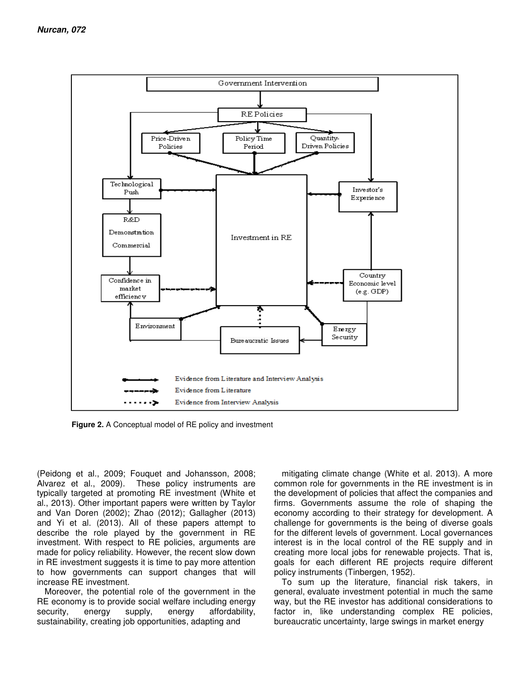

**Figure 2.** A Conceptual model of RE policy and investment

(Peidong et al., 2009; Fouquet and Johansson, 2008; Alvarez et al., 2009). These policy instruments are typically targeted at promoting RE investment (White et al., 2013). Other important papers were written by Taylor and Van Doren (2002); Zhao (2012); Gallagher (2013) and Yi et al. (2013). All of these papers attempt to describe the role played by the government in RE investment. With respect to RE policies, arguments are made for policy reliability. However, the recent slow down in RE investment suggests it is time to pay more attention to how governments can support changes that will increase RE investment.

Moreover, the potential role of the government in the RE economy is to provide social welfare including energy security, energy supply, energy affordability, sustainability, creating job opportunities, adapting and

mitigating climate change (White et al. 2013). A more common role for governments in the RE investment is in the development of policies that affect the companies and firms. Governments assume the role of shaping the economy according to their strategy for development. A challenge for governments is the being of diverse goals for the different levels of government. Local governances interest is in the local control of the RE supply and in creating more local jobs for renewable projects. That is, goals for each different RE projects require different policy instruments (Tinbergen, 1952).

To sum up the literature, financial risk takers, in general, evaluate investment potential in much the same way, but the RE investor has additional considerations to factor in, like understanding complex RE policies, bureaucratic uncertainty, large swings in market energy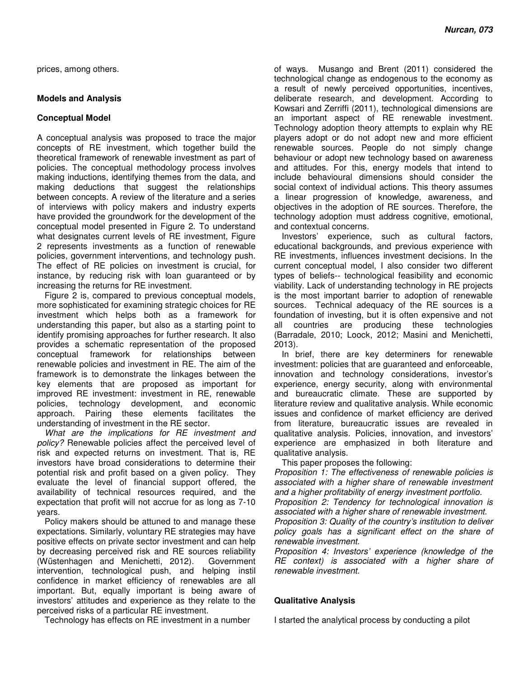prices, among others.

#### **Models and Analysis**

#### **Conceptual Model**

A conceptual analysis was proposed to trace the major concepts of RE investment, which together build the theoretical framework of renewable investment as part of policies. The conceptual methodology process involves making inductions, identifying themes from the data, and making deductions that suggest the relationships between concepts. A review of the literature and a series of interviews with policy makers and industry experts have provided the groundwork for the development of the conceptual model presented in Figure 2. To understand what designates current levels of RE investment, Figure 2 represents investments as a function of renewable policies, government interventions, and technology push. The effect of RE policies on investment is crucial, for instance, by reducing risk with loan guaranteed or by increasing the returns for RE investment.

Figure 2 is, compared to previous conceptual models, more sophisticated for examining strategic choices for RE investment which helps both as a framework for understanding this paper, but also as a starting point to identify promising approaches for further research. It also provides a schematic representation of the proposed conceptual framework for relationships between renewable policies and investment in RE. The aim of the framework is to demonstrate the linkages between the key elements that are proposed as important for improved RE investment: investment in RE, renewable policies, technology development, and economic approach. Pairing these elements facilitates the understanding of investment in the RE sector.

*What are the implications for RE investment and policy?* Renewable policies affect the perceived level of risk and expected returns on investment. That is, RE investors have broad considerations to determine their potential risk and profit based on a given policy. They evaluate the level of financial support offered, the availability of technical resources required, and the expectation that profit will not accrue for as long as 7-10 years.

Policy makers should be attuned to and manage these expectations. Similarly, voluntary RE strategies may have positive effects on private sector investment and can help by decreasing perceived risk and RE sources reliability (Wüstenhagen and Menichetti, 2012). Government intervention, technological push, and helping instil confidence in market efficiency of renewables are all important. But, equally important is being aware of investors' attitudes and experience as they relate to the perceived risks of a particular RE investment.

Technology has effects on RE investment in a number

of ways. Musango and Brent (2011) considered the technological change as endogenous to the economy as a result of newly perceived opportunities, incentives, deliberate research, and development. According to Kowsari and Zerriffi (2011), technological dimensions are an important aspect of RE renewable investment. Technology adoption theory attempts to explain why RE players adopt or do not adopt new and more efficient renewable sources. People do not simply change behaviour or adopt new technology based on awareness and attitudes. For this, energy models that intend to include behavioural dimensions should consider the social context of individual actions. This theory assumes a linear progression of knowledge, awareness, and objectives in the adoption of RE sources. Therefore, the technology adoption must address cognitive, emotional, and contextual concerns.

Investors' experience, such as cultural factors, educational backgrounds, and previous experience with RE investments, influences investment decisions. In the current conceptual model, I also consider two different types of beliefs-- technological feasibility and economic viability. Lack of understanding technology in RE projects is the most important barrier to adoption of renewable sources. Technical adequacy of the RE sources is a foundation of investing, but it is often expensive and not all countries are producing these technologies (Barradale, 2010; Loock, 2012; Masini and Menichetti, 2013).

In brief, there are key determiners for renewable investment: policies that are guaranteed and enforceable, innovation and technology considerations, investor's experience, energy security, along with environmental and bureaucratic climate. These are supported by literature review and qualitative analysis. While economic issues and confidence of market efficiency are derived from literature, bureaucratic issues are revealed in qualitative analysis. Policies, innovation, and investors' experience are emphasized in both literature and qualitative analysis.

This paper proposes the following:

*Proposition 1: The effectiveness of renewable policies is associated with a higher share of renewable investment and a higher profitability of energy investment portfolio.* 

*Proposition 2: Tendency for technological innovation is associated with a higher share of renewable investment.* 

*Proposition 3: Quality of the country's institution to deliver policy goals has a significant effect on the share of renewable investment.* 

*Proposition 4: Investors' experience (knowledge of the RE context) is associated with a higher share of renewable investment.* 

#### **Qualitative Analysis**

I started the analytical process by conducting a pilot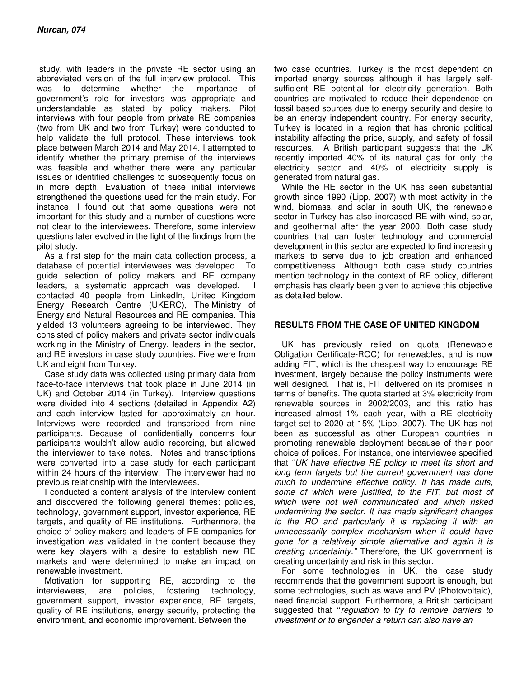study, with leaders in the private RE sector using an abbreviated version of the full interview protocol. This was to determine whether the importance of government's role for investors was appropriate and understandable as stated by policy makers. Pilot interviews with four people from private RE companies (two from UK and two from Turkey) were conducted to help validate the full protocol. These interviews took place between March 2014 and May 2014. I attempted to identify whether the primary premise of the interviews was feasible and whether there were any particular issues or identified challenges to subsequently focus on in more depth. Evaluation of these initial interviews strengthened the questions used for the main study. For instance, I found out that some questions were not important for this study and a number of questions were not clear to the interviewees. Therefore, some interview questions later evolved in the light of the findings from the pilot study.

As a first step for the main data collection process, a database of potential interviewees was developed. To guide selection of policy makers and RE company leaders, a systematic approach was developed. I contacted 40 people from LinkedIn, United Kingdom Energy Research Centre (UKERC), The Ministry of Energy and Natural Resources and RE companies. This yielded 13 volunteers agreeing to be interviewed. They consisted of policy makers and private sector individuals working in the Ministry of Energy, leaders in the sector, and RE investors in case study countries. Five were from UK and eight from Turkey.

Case study data was collected using primary data from face-to-face interviews that took place in June 2014 (in UK) and October 2014 (in Turkey). Interview questions were divided into 4 sections (detailed in Appendix A2) and each interview lasted for approximately an hour. Interviews were recorded and transcribed from nine participants. Because of confidentially concerns four participants wouldn't allow audio recording, but allowed the interviewer to take notes. Notes and transcriptions were converted into a case study for each participant within 24 hours of the interview. The interviewer had no previous relationship with the interviewees.

I conducted a content analysis of the interview content and discovered the following general themes: policies, technology, government support, investor experience, RE targets, and quality of RE institutions. Furthermore, the choice of policy makers and leaders of RE companies for investigation was validated in the content because they were key players with a desire to establish new RE markets and were determined to make an impact on renewable investment.

Motivation for supporting RE, according to the interviewees, are policies, fostering technology, government support, investor experience, RE targets, quality of RE institutions, energy security, protecting the environment, and economic improvement. Between the

two case countries, Turkey is the most dependent on imported energy sources although it has largely selfsufficient RE potential for electricity generation. Both countries are motivated to reduce their dependence on fossil based sources due to energy security and desire to be an energy independent country. For energy security, Turkey is located in a region that has chronic political instability affecting the price, supply, and safety of fossil resources. A British participant suggests that the UK recently imported 40% of its natural gas for only the electricity sector and 40% of electricity supply is generated from natural gas.

While the RE sector in the UK has seen substantial growth since 1990 (Lipp, 2007) with most activity in the wind, biomass, and solar in south UK, the renewable sector in Turkey has also increased RE with wind, solar, and geothermal after the year 2000. Both case study countries that can foster technology and commercial development in this sector are expected to find increasing markets to serve due to job creation and enhanced competitiveness. Although both case study countries mention technology in the context of RE policy, different emphasis has clearly been given to achieve this objective as detailed below.

#### **RESULTS FROM THE CASE OF UNITED KINGDOM**

UK has previously relied on quota (Renewable Obligation Certificate-ROC) for renewables, and is now adding FIT, which is the cheapest way to encourage RE investment, largely because the policy instruments were well designed. That is, FIT delivered on its promises in terms of benefits. The quota started at 3% electricity from renewable sources in 2002/2003, and this ratio has increased almost 1% each year, with a RE electricity target set to 2020 at 15% (Lipp, 2007). The UK has not been as successful as other European countries in promoting renewable deployment because of their poor choice of polices. For instance, one interviewee specified that "*UK have effective RE policy to meet its short and long term targets but the current government has done much to undermine effective policy. It has made cuts, some of which were justified, to the FIT, but most of which were not well communicated and which risked undermining the sector. It has made significant changes to the RO and particularly it is replacing it with an unnecessarily complex mechanism when it could have gone for a relatively simple alternative and again it is creating uncertainty."* Therefore, the UK government is creating uncertainty and risk in this sector.

For some technologies in UK, the case study recommends that the government support is enough, but some technologies, such as wave and PV (Photovoltaic), need financial support. Furthermore, a British participant suggested that **"***regulation to try to remove barriers to investment or to engender a return can also have an*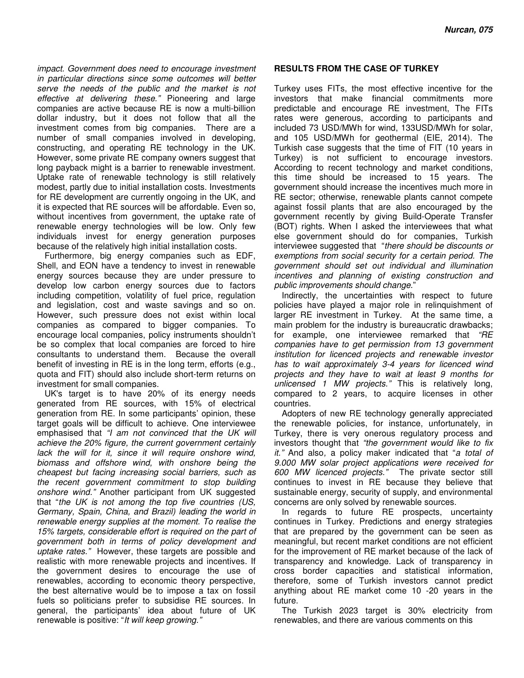*impact. Government does need to encourage investment in particular directions since some outcomes will better serve the needs of the public and the market is not effective at delivering these."* Pioneering and large companies are active because RE is now a multi-billion dollar industry, but it does not follow that all the investment comes from big companies. There are a number of small companies involved in developing, constructing, and operating RE technology in the UK. However, some private RE company owners suggest that long payback might is a barrier to renewable investment. Uptake rate of renewable technology is still relatively modest, partly due to initial installation costs. Investments for RE development are currently ongoing in the UK, and it is expected that RE sources will be affordable. Even so, without incentives from government, the uptake rate of renewable energy technologies will be low. Only few individuals invest for energy generation purposes because of the relatively high initial installation costs.

Furthermore, big energy companies such as EDF, Shell, and EON have a tendency to invest in renewable energy sources because they are under pressure to develop low carbon energy sources due to factors including competition, volatility of fuel price, regulation and legislation, cost and waste savings and so on. However, such pressure does not exist within local companies as compared to bigger companies. To encourage local companies, policy instruments shouldn't be so complex that local companies are forced to hire consultants to understand them. Because the overall benefit of investing in RE is in the long term, efforts (e.g., quota and FIT) should also include short-term returns on investment for small companies.

UK's target is to have 20% of its energy needs generated from RE sources, with 15% of electrical generation from RE. In some participants' opinion, these target goals will be difficult to achieve. One interviewee emphasised that *"I am not convinced that the UK will achieve the 20% figure, the current government certainly lack the will for it, since it will require onshore wind, biomass and offshore wind, with onshore being the cheapest but facing increasing social barriers, such as the recent government commitment to stop building onshore wind."* Another participant from UK suggested that "*the UK is not among the top five countries (US, Germany, Spain, China, and Brazil) leading the world in renewable energy supplies at the moment. To realise the 15% targets, considerable effort is required on the part of government both in terms of policy development and uptake rates."* However, these targets are possible and realistic with more renewable projects and incentives. If the government desires to encourage the use of renewables, according to economic theory perspective, the best alternative would be to impose a tax on fossil fuels so politicians prefer to subsidise RE sources. In general, the participants' idea about future of UK renewable is positive: "*It will keep growing."*

#### **RESULTS FROM THE CASE OF TURKEY**

Turkey uses FITs, the most effective incentive for the investors that make financial commitments more predictable and encourage RE investment, The FITs rates were generous, according to participants and included 73 USD/MWh for wind, 133USD/MWh for solar, and 105 USD/MWh for geothermal (EIE, 2014). The Turkish case suggests that the time of FIT (10 years in Turkey) is not sufficient to encourage investors. According to recent technology and market conditions, this time should be increased to 15 years. The government should increase the incentives much more in RE sector; otherwise, renewable plants cannot compete against fossil plants that are also encouraged by the government recently by giving Build-Operate Transfer (BOT) rights. When I asked the interviewees that what else government should do for companies, Turkish interviewee suggested that "*there should be discounts or exemptions from social security for a certain period. The government should set out individual and illumination incentives and planning of existing construction and public improvements should change*."

Indirectly, the uncertainties with respect to future policies have played a major role in relinquishment of larger RE investment in Turkey. At the same time, a main problem for the industry is bureaucratic drawbacks; for example, one interviewee remarked that *"RE companies have to get permission from 13 government institution for licenced projects and renewable investor has to wait approximately 3-4 years for licenced wind projects and they have to wait at least 9 months for unlicensed 1 MW projects."* This is relatively long, compared to 2 years, to acquire licenses in other countries.

Adopters of new RE technology generally appreciated the renewable policies, for instance, unfortunately, in Turkey, there is very onerous regulatory process and investors thought that *"the government would like to fix it."* And also*,* a policy maker indicated that "*a total of 9.000 MW solar project applications were received for 600 MW licenced projects."* The private sector still continues to invest in RE because they believe that sustainable energy, security of supply, and environmental concerns are only solved by renewable sources.

In regards to future RE prospects, uncertainty continues in Turkey. Predictions and energy strategies that are prepared by the government can be seen as meaningful, but recent market conditions are not efficient for the improvement of RE market because of the lack of transparency and knowledge. Lack of transparency in cross border capacities and statistical information, therefore, some of Turkish investors cannot predict anything about RE market come 10 -20 years in the future.

The Turkish 2023 target is 30% electricity from renewables, and there are various comments on this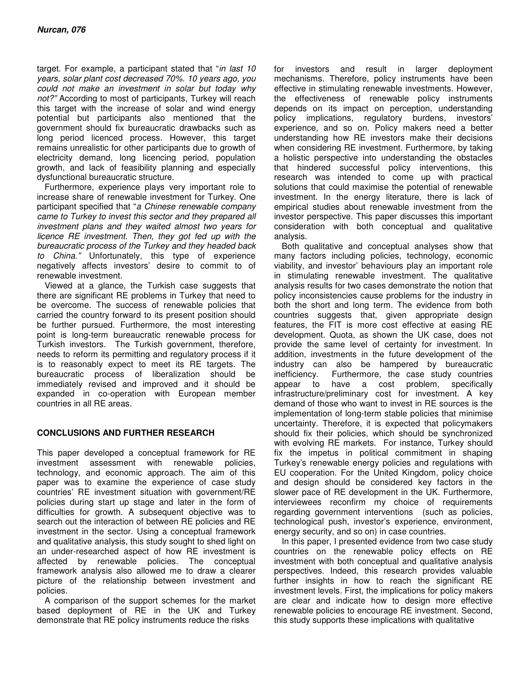target. For example, a participant stated that "*in last 10 years, solar plant cost decreased 70%. 10 years ago, you could not make an investment in solar but today why not?"* According to most of participants, Turkey will reach this target with the increase of solar and wind energy potential but participants also mentioned that the government should fix bureaucratic drawbacks such as long period licenced process. However, this target remains unrealistic for other participants due to growth of electricity demand, long licencing period, population growth, and lack of feasibility planning and especially dysfunctional bureaucratic structure.

Furthermore, experience plays very important role to increase share of renewable investment for Turkey. One participant specified that "*a Chinese renewable company came to Turkey to invest this sector and they prepared all investment plans and they waited almost two years for licence RE investment. Then, they got fed up with the bureaucratic process of the Turkey and they headed back to China."* Unfortunately, this type of experience negatively affects investors' desire to commit to of renewable investment.

Viewed at a glance, the Turkish case suggests that there are significant RE problems in Turkey that need to be overcome. The success of renewable policies that carried the country forward to its present position should be further pursued. Furthermore, the most interesting point is long-term bureaucratic renewable process for Turkish investors. The Turkish government, therefore, needs to reform its permitting and regulatory process if it is to reasonably expect to meet its RE targets. The bureaucratic process of liberalization should be immediately revised and improved and it should be expanded in co-operation with European member countries in all RE areas.

#### **CONCLUSIONS AND FURTHER RESEARCH**

This paper developed a conceptual framework for RE investment assessment with renewable policies, technology, and economic approach. The aim of this paper was to examine the experience of case study countries' RE investment situation with government/RE policies during start up stage and later in the form of difficulties for growth. A subsequent objective was to search out the interaction of between RE policies and RE investment in the sector. Using a conceptual framework and qualitative analysis, this study sought to shed light on an under-researched aspect of how RE investment is affected by renewable policies. The conceptual framework analysis also allowed me to draw a clearer picture of the relationship between investment and policies.

A comparison of the support schemes for the market based deployment of RE in the UK and Turkey demonstrate that RE policy instruments reduce the risks

for investors and result in larger deployment mechanisms. Therefore, policy instruments have been effective in stimulating renewable investments. However, the effectiveness of renewable policy instruments depends on its impact on perception, understanding policy implications, regulatory burdens, investors' experience, and so on. Policy makers need a better understanding how RE investors make their decisions when considering RE investment. Furthermore, by taking a holistic perspective into understanding the obstacles that hindered successful policy interventions, this research was intended to come up with practical solutions that could maximise the potential of renewable investment. In the energy literature, there is lack of empirical studies about renewable investment from the investor perspective. This paper discusses this important consideration with both conceptual and qualitative analysis.

Both qualitative and conceptual analyses show that many factors including policies, technology, economic viability, and investor' behaviours play an important role in stimulating renewable investment. The qualitative analysis results for two cases demonstrate the notion that policy inconsistencies cause problems for the industry in both the short and long term. The evidence from both countries suggests that, given appropriate design features, the FIT is more cost effective at easing RE development. Quota, as shown the UK case, does not provide the same level of certainty for investment. In addition, investments in the future development of the industry can also be hampered by bureaucratic inefficiency. Furthermore, the case study countries appear to have a cost problem, specifically infrastructure/preliminary cost for investment. A key demand of those who want to invest in RE sources is the implementation of long-term stable policies that minimise uncertainty. Therefore, it is expected that policymakers should fix their policies, which should be synchronized with evolving RE markets. For instance, Turkey should fix the impetus in political commitment in shaping Turkey's renewable energy policies and regulations with EU cooperation. For the United Kingdom, policy choice and design should be considered key factors in the slower pace of RE development in the UK. Furthermore, interviewees reconfirm my choice of requirements regarding government interventions (such as policies, technological push, investor's experience, environment, energy security, and so on) in case countries.

In this paper, I presented evidence from two case study countries on the renewable policy effects on RE investment with both conceptual and qualitative analysis perspectives. Indeed, this research provides valuable further insights in how to reach the significant RE investment levels. First, the implications for policy makers are clear and indicate how to design more effective renewable policies to encourage RE investment. Second, this study supports these implications with qualitative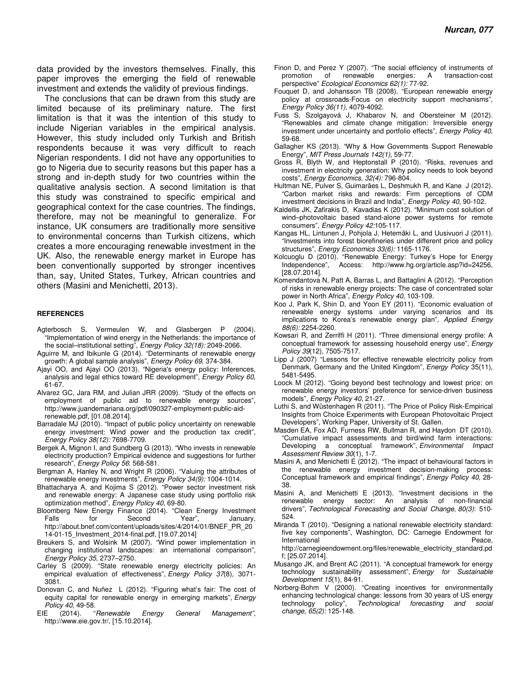data provided by the investors themselves. Finally, this paper improves the emerging the field of renewable investment and extends the validity of previous findings.

The conclusions that can be drawn from this study are limited because of its preliminary nature. The first limitation is that it was the intention of this study to include Nigerian variables in the empirical analysis. However, this study included only Turkish and British respondents because it was very difficult to reach Nigerian respondents. I did not have any opportunities to go to Nigeria due to security reasons but this paper has a strong and in-depth study for two countries within the qualitative analysis section. A second limitation is that this study was constrained to specific empirical and geographical context for the case countries. The findings, therefore, may not be meaningful to generalize. For instance, UK consumers are traditionally more sensitive to environmental concerns than Turkish citizens, which creates a more encouraging renewable investment in the UK. Also, the renewable energy market in Europe has been conventionally supported by stronger incentives than, say, United States, Turkey, African countries and others (Masini and Menichetti, 2013).

#### **REFERENCES**

- Agterbosch S, Vermeulen W, and Glasbergen P (2004). "Implementation of wind energy in the Netherlands: the importance of the social–institutional setting", *Energy Policy 32(18):* 2049-2066.
- Aguirre M, and Ibikunle G (2014). "Determinants of renewable energy growth: A global sample analysis", *Energy Policy 69*, 374-384.
- Ajayi OO, and Ajayi OO (2013). "Nigeria's energy policy: Inferences, analysis and legal ethics toward RE development", *Energy Policy 60*, 61-67.
- Alvarez GC, Jara RM, and Julian JRR (2009). "Study of the effects on employment of public aid to renewable energy sources", http://www.juandemariana.org/pdf/090327-employment-public-aidrenewable.pdf, [01.08.2014].
- Barradale MJ (2010). "Impact of public policy uncertainty on renewable energy investment: Wind power and the production tax credit", *Energy Policy 38(12):* 7698-7709.
- Bergek A, Mignon I, and Sundberg G (2013). "Who invests in renewable electricity production? Empirical evidence and suggestions for further research", *Energy Policy 56*: 568-581.
- Bergman A, Hanley N, and Wright R (2006). "Valuing the attributes of renewable energy investments", *Energy Policy 34(9):* 1004-1014.
- Bhattacharya A, and Kojima S (2012). "Power sector investment risk and renewable energy: A Japanese case study using portfolio risk optimization method", *Energy Policy 40*, 69-80.
- Bloomberg New Energy Finance (2014). "Clean Energy Investment Falls for Second Year", January, http://about.bnef.com/content/uploads/sites/4/2014/01/BNEF\_PR\_20 14-01-15\_Investment\_2014-final.pdf, [19.07.2014]
- Breukers S, and Wolsink M (2007). "Wind power implementation in changing institutional landscapes: an international comparison", *Energy Policy 35*, 2737–2750.
- Carley S (2009). "State renewable energy electricity policies: An empirical evaluation of effectiveness", *Energy Policy 37*(8), 3071- 3081.
- Donovan C, and Nuñez L (2012). "Figuring what's fair: The cost of equity capital for renewable energy in emerging markets", *Energy Policy 40*, 49-58.
- EIE (2014). "*Renewable Energy General Management",* http://www.eie.gov.tr/, [15.10.2014].
- Finon D, and Perez Y (2007). "The social efficiency of instruments of promotion of renewable energies: A transaction-cost perspective" *Ecological Economics 62(1):* 77-92.
- Fouquet D, and Johansson TB (2008). "European renewable energy policy at crossroads-Focus on electricity support mechanisms", *Energy Policy 36(11),* 4079-4092.
- Fuss S, Szolgayová J, Khabarov N, and Obersteiner M (2012). "Renewables and climate change mitigation: Irreversible energy investment under uncertainty and portfolio effects", *Energy Policy 40*, 59-68.
- Gallagher KS (2013). "Why & How Governments Support Renewable Energy", *MIT Press Journals 142(1),* 59-77.
- Gross R, Blyth W, and Heptonstall P (2010). "Risks, revenues and investment in electricity generation: Why policy needs to look beyond costs", *Energy Economics, 32(4):* 796-804.
- Hultman NE, Pulver S, Guimarães L, Deshmukh R, and Kane J (2012). "Carbon market risks and rewards: Firm perceptions of CDM investment decisions in Brazil and India", *Energy Policy 40*, 90-102.
- Kaldellis JK, Zafirakis D, Kavadias K (2012). "Minimum cost solution of wind–photovoltaic based stand-alone power systems for remote consumers", *Energy Policy 42:*105-117.
- Kangas HL, Lintunen J, Pohjola J, Hetemäki L, and Uusivuori J (2011). "Investments into forest biorefineries under different price and policy structures", *Energy Economics 33(6):* 1165-1176.
- Kolcuoglu D (2010). "Renewable Energy: Turkey's Hope for Energy Independence", Access: http://www.hg.org/article.asp?id=24256, [28.07.2014].
- Komendantova N, Patt A, Barras L, and Battaglini A (2012). "Perception of risks in renewable energy projects: The case of concentrated solar power in North Africa", *Energy Policy 40*, 103-109.
- Koo J, Park K, Shin D, and Yoon EY (2011). "Economic evaluation of renewable energy systems under varying scenarios and its implications to Korea's renewable energy plan", *Applied Energy 88(6):* 2254-2260.
- Kowsari R, and Zerriffi H (2011). "Three dimensional energy profile: A conceptual framework for assessing household energy use", *Energy Policy 39*(12), 7505-7517.
- Lipp J (2007) "Lessons for effective renewable electricity policy from Denmark, Germany and the United Kingdom", *Energy Policy* 35(11), 5481-5495.
- Loock M (2012). "Going beyond best technology and lowest price: on renewable energy investors' preference for service-driven business models", *Energy Policy 40*, 21-27.
- Luthi S, and Wüstenhagen R (2011). "The Price of Policy Risk-Empirical Insights from Choice Experiments with European Photovoltaic Project Developers", Working Paper, University of St. Gallen.
- Masden EA, Fox AD, Furness RW, Bullman R, and Haydon DT (2010). "Cumulative impact assessments and bird/wind farm interactions: Developing a conceptual framework", *Environmental Impact Assessment Review 30*(1), 1-7.
- Masini A, and Menichetti E (2012). "The impact of behavioural factors in the renewable energy investment decision-making process: Conceptual framework and empirical findings", *Energy Policy 40*, 28- 38.
- Masini A, and Menichetti E (2013). "Investment decisions in the renewable energy sector: An analysis of non-financial drivers", *Technological Forecasting and Social Change, 80(3)*: 510- 524.
- Miranda T (2010). "Designing a national renewable electricity standard: five key components", Washington, DC: Carnegie Endowment for International http://carnegieendowment.org/files/renewable\_electricity\_standard.pd f; [25.07.2014].
- Musango JK, and Brent AC (2011). "A conceptual framework for energy technology sustainability assessment", *Energy for Sustainable Development 15*(1), 84-91.
- Norberg-Bohm V (2000). "Creating incentives for environmentally enhancing technological change: lessons from 30 years of US energy technology policy", *Technological forecasting and social change, 65(2):* 125-148.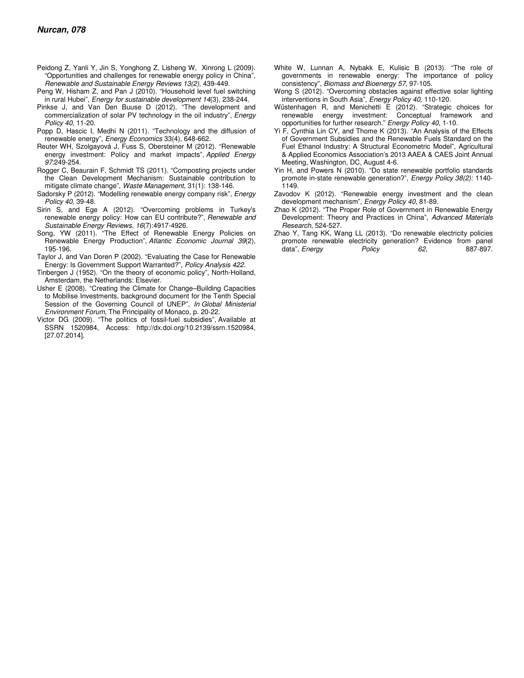- Peidong Z, Yanli Y, Jin S, Yonghong Z, Lisheng W, Xinrong L (2009). "Opportunities and challenges for renewable energy policy in China", *Renewable and Sustainable Energy Reviews 13(2),* 439-449.
- Peng W, Hisham Z, and Pan J (2010). "Household level fuel switching in rural Hubei", *Energy for sustainable development 14*(3), 238-244.
- Pinkse J, and Van Den Buuse D (2012). "The development and commercialization of solar PV technology in the oil industry", *Energy Policy 40*, 11-20.
- Popp D, Hascic I, Medhi N (2011). "Technology and the diffusion of renewable energy", *Energy Economics* 33(4), 648-662.
- Reuter WH, Szolgayová J, Fuss S, Obersteiner M (2012). "Renewable energy investment: Policy and market impacts", *Applied Energy 97:*249-254.
- Rogger C, Beaurain F, Schmidt TS (2011). "Composting projects under the Clean Development Mechanism: Sustainable contribution to mitigate climate change", *Waste Management,* 31(1): 138-146.
- Sadorsky P (2012). "Modelling renewable energy company risk", *Energy Policy 40*, 39-48.
- Sirin S, and Ege A (2012). "Overcoming problems in Turkey's renewable energy policy: How can EU contribute?", *Renewable and Sustainable Energy Reviews*, *16*(7):4917-4926.
- Song, YW (2011). "The Effect of Renewable Energy Policies on Renewable Energy Production", *Atlantic Economic Journal 39*(2), 195-196.
- Taylor J, and Van Doren P (2002). "Evaluating the Case for Renewable Energy: Is Government Support Warranted?", *Policy Analysis 422.*
- Tinbergen J (1952). "On the theory of economic policy", North-Holland, Amsterdam, the Netherlands: Elsevier.
- Usher E (2008). "Creating the Climate for Change–Building Capacities to Mobilise Investments, background document for the Tenth Special Session of the Governing Council of UNEP", *In Global Ministerial Environment Forum*, The Principality of Monaco, p. 20-22.
- Victor DG (2009). "The politics of fossil-fuel subsidies", Available at SSRN 1520984, Access: http://dx.doi.org/10.2139/ssrn.1520984, [27.07.2014].
- White W, Lunnan A, Nybakk E, Kulisic B (2013). "The role of governments in renewable energy: The importance of policy consistency", *Biomass and Bioenergy 57*, 97-105.
- Wong S (2012). "Overcoming obstacles against effective solar lighting interventions in South Asia", *Energy Policy 40*, 110-120.
- Wüstenhagen R, and Menichetti E (2012). "Strategic choices for renewable energy investment: Conceptual framework and opportunities for further research." *Energy Policy 40*, 1-10.
- Yi F, Cynthia Lin CY, and Thome K (2013). "An Analysis of the Effects of Government Subsidies and the Renewable Fuels Standard on the Fuel Ethanol Industry: A Structural Econometric Model", Agricultural & Applied Economics Association's 2013 AAEA & CAES Joint Annual Meeting, Washington, DC, August 4-6.
- Yin H, and Powers N (2010). "Do state renewable portfolio standards promote in-state renewable generation?", *Energy Policy 38(2):* 1140-1149.
- Zavodov K (2012). "Renewable energy investment and the clean development mechanism", *Energy Policy 40*, 81-89.
- Zhao K (2012). "The Proper Role of Government in Renewable Energy Development: Theory and Practices in China", *Advanced Materials Research*, 524-527.
- Zhao Y, Tang KK, Wang LL (2013). "Do renewable electricity policies promote renewable electricity generation? Evidence from panel<br>data", Energy Policy 62, 887-897. data", *Energy Policy* 62,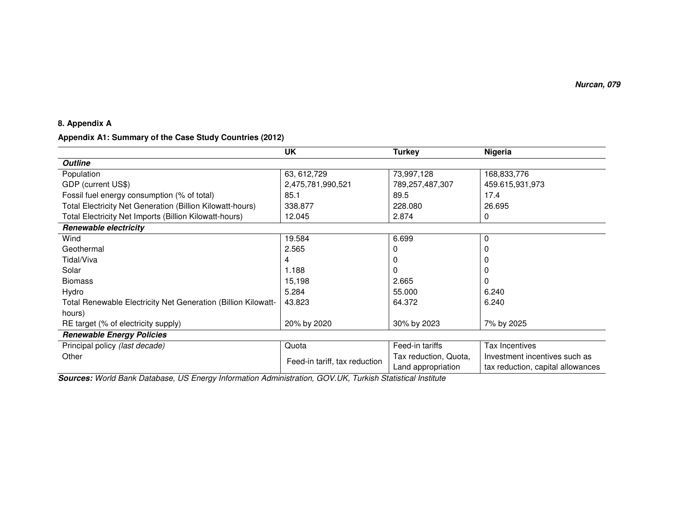#### **8. Appendix A**

#### **Appendix A1: Summary of the Case Study Countries (2012)**

|                                                               | UK                            | Turkey                | Nigeria                           |  |
|---------------------------------------------------------------|-------------------------------|-----------------------|-----------------------------------|--|
| <b>Outline</b>                                                |                               |                       |                                   |  |
| Population                                                    | 63, 612, 729                  | 73,997,128            | 168,833,776                       |  |
| GDP (current US\$)                                            | 2,475,781,990,521             | 789,257,487,307       | 459.615,931,973                   |  |
| Fossil fuel energy consumption (% of total)                   | 85.1                          | 89.5                  | 17.4                              |  |
| Total Electricity Net Generation (Billion Kilowatt-hours)     | 338.877                       | 228.080               | 26.695                            |  |
| Total Electricity Net Imports (Billion Kilowatt-hours)        | 12.045                        | 2.874                 | 0                                 |  |
| <b>Renewable electricity</b>                                  |                               |                       |                                   |  |
| Wind                                                          | 19.584                        | 6.699                 | 0                                 |  |
| Geothermal                                                    | 2.565                         |                       |                                   |  |
| Tidal/Viva                                                    | 4                             | 0                     |                                   |  |
| Solar                                                         | 1.188                         | 0                     |                                   |  |
| <b>Biomass</b>                                                | 15,198                        | 2.665                 |                                   |  |
| Hydro                                                         | 5.284                         | 55.000                | 6.240                             |  |
| Total Renewable Electricity Net Generation (Billion Kilowatt- | 43.823                        | 64.372                | 6.240                             |  |
| hours)                                                        |                               |                       |                                   |  |
| RE target (% of electricity supply)                           | 20% by 2020                   | 30% by 2023           | 7% by 2025                        |  |
| <b>Renewable Energy Policies</b>                              |                               |                       |                                   |  |
| Principal policy (last decade)                                | Quota                         | Feed-in tariffs       | Tax Incentives                    |  |
| Other                                                         | Feed-in tariff, tax reduction | Tax reduction, Quota, | Investment incentives such as     |  |
|                                                               |                               | Land appropriation    | tax reduction, capital allowances |  |

**Sources:** *World Bank Database, US Energy Information Administration, GOV.UK, Turkish Statistical Institute*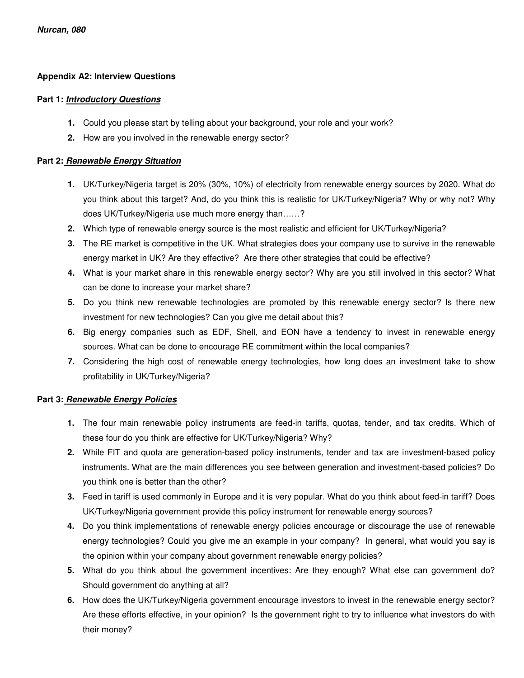### **Appendix A2: Interview Questions**

#### **Part 1: Introductory Questions**

- **1.** Could you please start by telling about your background, your role and your work?
- **2.** How are you involved in the renewable energy sector?

#### **Part 2: Renewable Energy Situation**

- **1.** UK/Turkey/Nigeria target is 20% (30%, 10%) of electricity from renewable energy sources by 2020. What do you think about this target? And, do you think this is realistic for UK/Turkey/Nigeria? Why or why not? Why does UK/Turkey/Nigeria use much more energy than……?
- **2.** Which type of renewable energy source is the most realistic and efficient for UK/Turkey/Nigeria?
- **3.** The RE market is competitive in the UK. What strategies does your company use to survive in the renewable energy market in UK? Are they effective? Are there other strategies that could be effective?
- **4.** What is your market share in this renewable energy sector? Why are you still involved in this sector? What can be done to increase your market share?
- **5.** Do you think new renewable technologies are promoted by this renewable energy sector? Is there new investment for new technologies? Can you give me detail about this?
- **6.** Big energy companies such as EDF, Shell, and EON have a tendency to invest in renewable energy sources. What can be done to encourage RE commitment within the local companies?
- **7.** Considering the high cost of renewable energy technologies, how long does an investment take to show profitability in UK/Turkey/Nigeria?

#### **Part 3: Renewable Energy Policies**

- **1.** The four main renewable policy instruments are feed-in tariffs, quotas, tender, and tax credits. Which of these four do you think are effective for UK/Turkey/Nigeria? Why?
- **2.** While FIT and quota are generation-based policy instruments, tender and tax are investment-based policy instruments. What are the main differences you see between generation and investment-based policies? Do you think one is better than the other?
- **3.** Feed in tariff is used commonly in Europe and it is very popular. What do you think about feed-in tariff? Does UK/Turkey/Nigeria government provide this policy instrument for renewable energy sources?
- **4.** Do you think implementations of renewable energy policies encourage or discourage the use of renewable energy technologies? Could you give me an example in your company? In general, what would you say is the opinion within your company about government renewable energy policies?
- **5.** What do you think about the government incentives: Are they enough? What else can government do? Should government do anything at all?
- **6.** How does the UK/Turkey/Nigeria government encourage investors to invest in the renewable energy sector? Are these efforts effective, in your opinion? Is the government right to try to influence what investors do with their money?